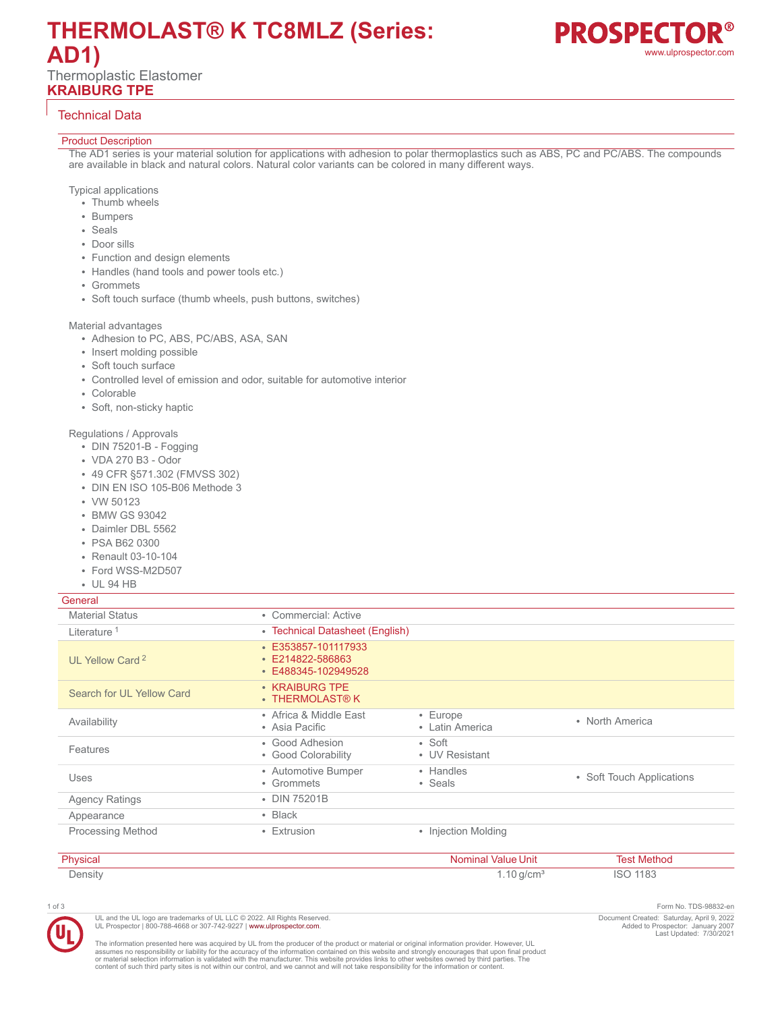# **THERMOLAST® K TC8MLZ (Series: AD1)** Thermoplastic Elastomer **KRAIBURG TPE**



# Technical Data

#### Product Description

The AD1 series is your material solution for applications with adhesion to polar thermoplastics such as ABS, PC and PC/ABS. The compounds are available in black and natural colors. Natural color variants can be colored in many different ways.

#### Typical applications

- Thumb wheels
- Bumpers
- Seals
- Door sills
- Function and design elements
- Handles (hand tools and power tools etc.)
- Grommets
- Soft touch surface (thumb wheels, push buttons, switches)

#### Material advantages

- Adhesion to PC, ABS, PC/ABS, ASA, SAN
- Insert molding possible
- Soft touch surface
- Controlled level of emission and odor, suitable for automotive interior
- Colorable
- Soft, non-sticky haptic

### Regulations / Approvals

- DIN 75201-B Fogging
- VDA 270 B3 Odor
- 49 CFR §571.302 (FMVSS 302)
- DIN EN ISO 105-B06 Methode 3
- VW 50123
- BMW GS 93042
- Daimler DBL 5562
- PSA B62 0300
- Renault 03-10-104
- Ford WSS-M2D507
- UL 94 HB

## General

| <b>OCHCIAL</b>              |                                                                      |                                  |                           |
|-----------------------------|----------------------------------------------------------------------|----------------------------------|---------------------------|
| <b>Material Status</b>      | • Commercial: Active                                                 |                                  |                           |
| Literature <sup>1</sup>     | • Technical Datasheet (English)                                      |                                  |                           |
| UL Yellow Card <sup>2</sup> | $\cdot$ E353857-101117933<br>· E214822-586863<br>• E488345-102949528 |                                  |                           |
| Search for UL Yellow Card   | • KRAIBURG TPE<br>$\cdot$ THERMOLAST® K                              |                                  |                           |
| Availability                | • Africa & Middle East<br>• Asia Pacific                             | • Europe<br>• Latin America      | • North America           |
| Features                    | • Good Adhesion<br>• Good Colorability                               | $\bullet$ Soft<br>• UV Resistant |                           |
| Uses                        | • Automotive Bumper<br>• Grommets                                    | • Handles<br>• Seals             | • Soft Touch Applications |
| <b>Agency Ratings</b>       | • DIN 75201B                                                         |                                  |                           |
| Appearance                  | $\cdot$ Black                                                        |                                  |                           |
| <b>Processing Method</b>    | • Extrusion                                                          | • Injection Molding              |                           |
|                             |                                                                      |                                  |                           |

| Physicar | Value Unit |      |
|----------|------------|------|
| Density  | 'UH.       | . UU |

1 of 3 Form No. TDS-98832-en Document Created: Saturday, April 9, 2022 Added to Prospector: January 2007 Last Updated: 7/30/2021

The information presented here was acquired by UL from the producer of the product or material or original information provider. However, UL<br>assumes no responsibility or liability for the accuracy of the information contai

UL and the UL logo are trademarks of UL LLC © 2022. All Rights Reserved. UL Prospector | 800-788-4668 or 307-742-9227 | [www.ulprospector.com](http://www.ulprospector.com).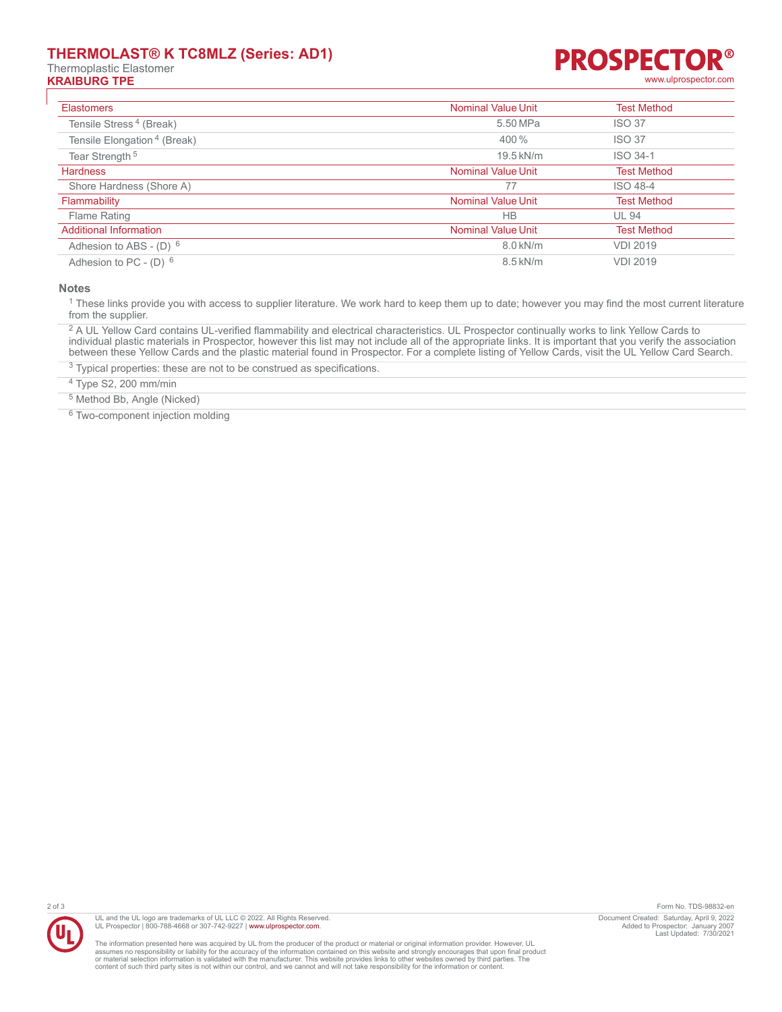# **THERMOLAST® K TC8MLZ (Series: AD1)**

Thermoplastic Elastomer

## **PROSPECTO R® KRAIBURG TPE** [www.ulprospector.com](http://www.ulprospector.com)

| <b>Elastomers</b>                       | <b>Nominal Value Unit</b> | <b>Test Method</b> |
|-----------------------------------------|---------------------------|--------------------|
| Tensile Stress <sup>4</sup> (Break)     | 5.50 MPa                  | <b>ISO 37</b>      |
| Tensile Elongation <sup>4</sup> (Break) | 400 %                     | <b>ISO 37</b>      |
| Tear Strength <sup>5</sup>              | 19.5 kN/m                 | ISO 34-1           |
| <b>Hardness</b>                         | <b>Nominal Value Unit</b> | <b>Test Method</b> |
| Shore Hardness (Shore A)                | 77                        | ISO 48-4           |
| Flammability                            | <b>Nominal Value Unit</b> | <b>Test Method</b> |
| <b>Flame Rating</b>                     | <b>HB</b>                 | <b>UL 94</b>       |
| <b>Additional Information</b>           | <b>Nominal Value Unit</b> | <b>Test Method</b> |
| Adhesion to ABS - (D) $6$               | 8.0 kN/m                  | <b>VDI 2019</b>    |
| Adhesion to PC - $(D)$ 6                | $8.5$ kN/m                | <b>VDI 2019</b>    |

**Notes**

<sup>1</sup> These links provide you with access to supplier literature. We work hard to keep them up to date; however you may find the most current literature from the supplier.

 $^2$  A UL Yellow Card contains UL-verified flammability and electrical characteristics. UL Prospector continually works to link Yellow Cards to individual plastic materials in Prospector, however this list may not include all of the appropriate links. It is important that you verify the association between these Yellow Cards and the plastic material found in Prospector. For a complete listing of Yellow Cards, visit the UL Yellow Card Search.

<sup>3</sup> Typical properties: these are not to be construed as specifications.

4 Type S2, 200 mm/min

5 Method Bb, Angle (Nicked)

<sup>6</sup> Two-component injection molding



The information presented here was acquired by UL from the producer of the product or material or original information provider. However, UL<br>assumes no responsibility or liability for the accuracy of the information contai